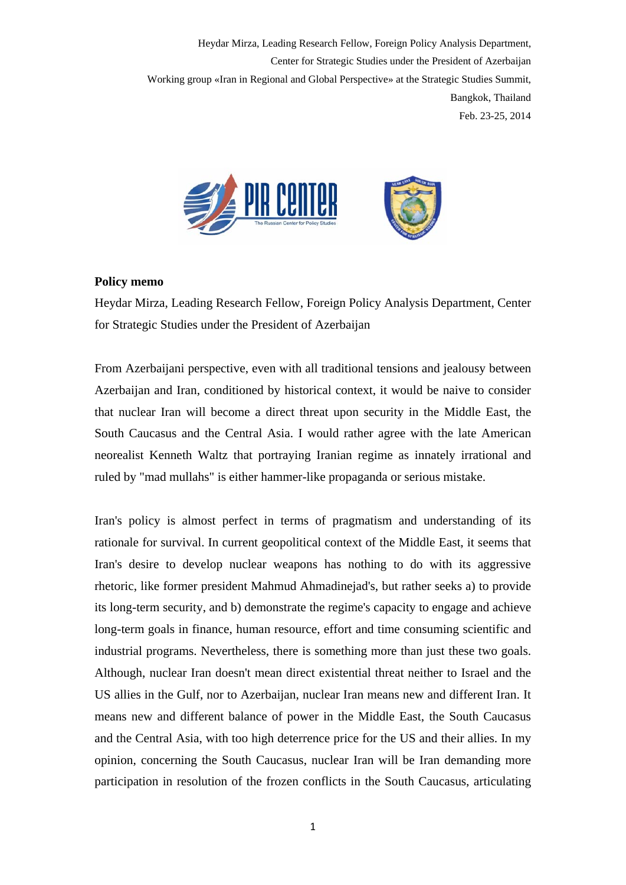

## **Policy memo**

Heydar Mirza, Leading Research Fellow, Foreign Policy Analysis Department, Center for Strategic Studies under the President of Azerbaijan

From Azerbaijani perspective, even with all traditional tensions and jealousy between Azerbaijan and Iran, conditioned by historical context, it would be naive to consider that nuclear Iran will become a direct threat upon security in the Middle East, the South Caucasus and the Central Asia. I would rather agree with the late American neorealist Kenneth Waltz that portraying Iranian regime as innately irrational and ruled by "mad mullahs" is either hammer-like propaganda or serious mistake.

Iran's policy is almost perfect in terms of pragmatism and understanding of its rationale for survival. In current geopolitical context of the Middle East, it seems that Iran's desire to develop nuclear weapons has nothing to do with its aggressive rhetoric, like former president Mahmud Ahmadinejad's, but rather seeks a) to provide its long-term security, and b) demonstrate the regime's capacity to engage and achieve long-term goals in finance, human resource, effort and time consuming scientific and industrial programs. Nevertheless, there is something more than just these two goals. Although, nuclear Iran doesn't mean direct existential threat neither to Israel and the US allies in the Gulf, nor to Azerbaijan, nuclear Iran means new and different Iran. It means new and different balance of power in the Middle East, the South Caucasus and the Central Asia, with too high deterrence price for the US and their allies. In my opinion, concerning the South Caucasus, nuclear Iran will be Iran demanding more participation in resolution of the frozen conflicts in the South Caucasus, articulating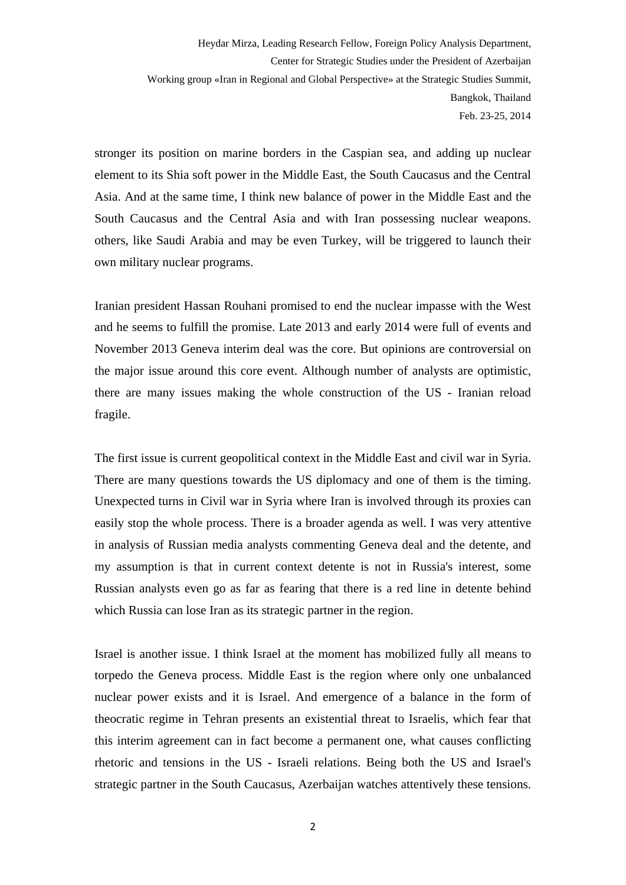stronger its position on marine borders in the Caspian sea, and adding up nuclear element to its Shia soft power in the Middle East, the South Caucasus and the Central Asia. And at the same time, I think new balance of power in the Middle East and the South Caucasus and the Central Asia and with Iran possessing nuclear weapons. others, like Saudi Arabia and may be even Turkey, will be triggered to launch their own military nuclear programs.

Iranian president Hassan Rouhani promised to end the nuclear impasse with the West and he seems to fulfill the promise. Late 2013 and early 2014 were full of events and November 2013 Geneva interim deal was the core. But opinions are controversial on the major issue around this core event. Although number of analysts are optimistic, there are many issues making the whole construction of the US - Iranian reload fragile.

The first issue is current geopolitical context in the Middle East and civil war in Syria. There are many questions towards the US diplomacy and one of them is the timing. Unexpected turns in Civil war in Syria where Iran is involved through its proxies can easily stop the whole process. There is a broader agenda as well. I was very attentive in analysis of Russian media analysts commenting Geneva deal and the detente, and my assumption is that in current context detente is not in Russia's interest, some Russian analysts even go as far as fearing that there is a red line in detente behind which Russia can lose Iran as its strategic partner in the region.

Israel is another issue. I think Israel at the moment has mobilized fully all means to torpedo the Geneva process. Middle East is the region where only one unbalanced nuclear power exists and it is Israel. And emergence of a balance in the form of theocratic regime in Tehran presents an existential threat to Israelis, which fear that this interim agreement can in fact become a permanent one, what causes conflicting rhetoric and tensions in the US - Israeli relations. Being both the US and Israel's strategic partner in the South Caucasus, Azerbaijan watches attentively these tensions.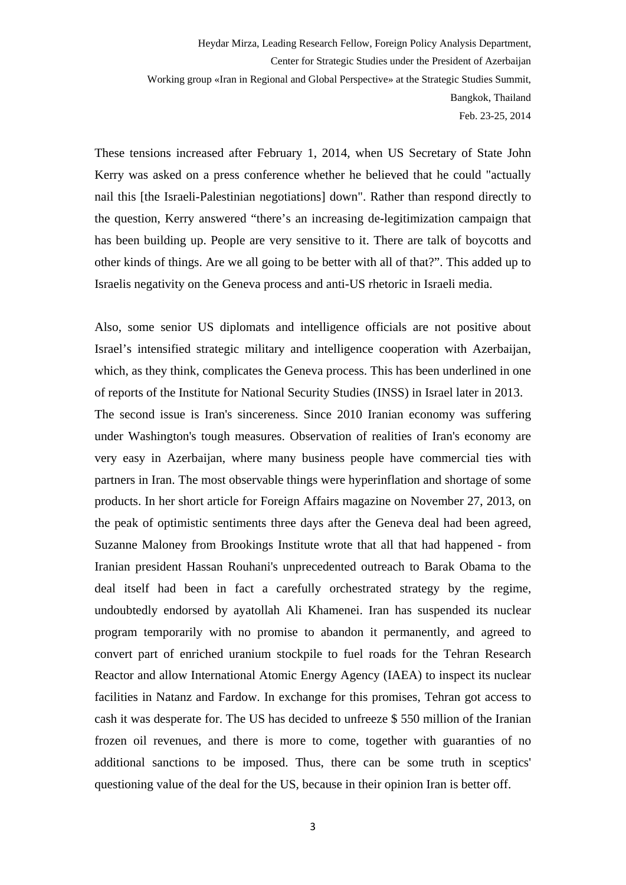These tensions increased after February 1, 2014, when US Secretary of State John Kerry was asked on a press conference whether he believed that he could "actually nail this [the Israeli-Palestinian negotiations] down". Rather than respond directly to the question, Kerry answered "there's an increasing de-legitimization campaign that has been building up. People are very sensitive to it. There are talk of boycotts and other kinds of things. Are we all going to be better with all of that?". This added up to Israelis negativity on the Geneva process and anti-US rhetoric in Israeli media.

Also, some senior US diplomats and intelligence officials are not positive about Israel's intensified strategic military and intelligence cooperation with Azerbaijan, which, as they think, complicates the Geneva process. This has been underlined in one of reports of the Institute for National Security Studies (INSS) in Israel later in 2013. The second issue is Iran's sincereness. Since 2010 Iranian economy was suffering under Washington's tough measures. Observation of realities of Iran's economy are very easy in Azerbaijan, where many business people have commercial ties with partners in Iran. The most observable things were hyperinflation and shortage of some products. In her short article for Foreign Affairs magazine on November 27, 2013, on the peak of optimistic sentiments three days after the Geneva deal had been agreed, Suzanne Maloney from Brookings Institute wrote that all that had happened - from Iranian president Hassan Rouhani's unprecedented outreach to Barak Obama to the deal itself had been in fact a carefully orchestrated strategy by the regime, undoubtedly endorsed by ayatollah Ali Khamenei. Iran has suspended its nuclear program temporarily with no promise to abandon it permanently, and agreed to convert part of enriched uranium stockpile to fuel roads for the Tehran Research Reactor and allow International Atomic Energy Agency (IAEA) to inspect its nuclear facilities in Natanz and Fardow. In exchange for this promises, Tehran got access to cash it was desperate for. The US has decided to unfreeze \$ 550 million of the Iranian frozen oil revenues, and there is more to come, together with guaranties of no additional sanctions to be imposed. Thus, there can be some truth in sceptics' questioning value of the deal for the US, because in their opinion Iran is better off.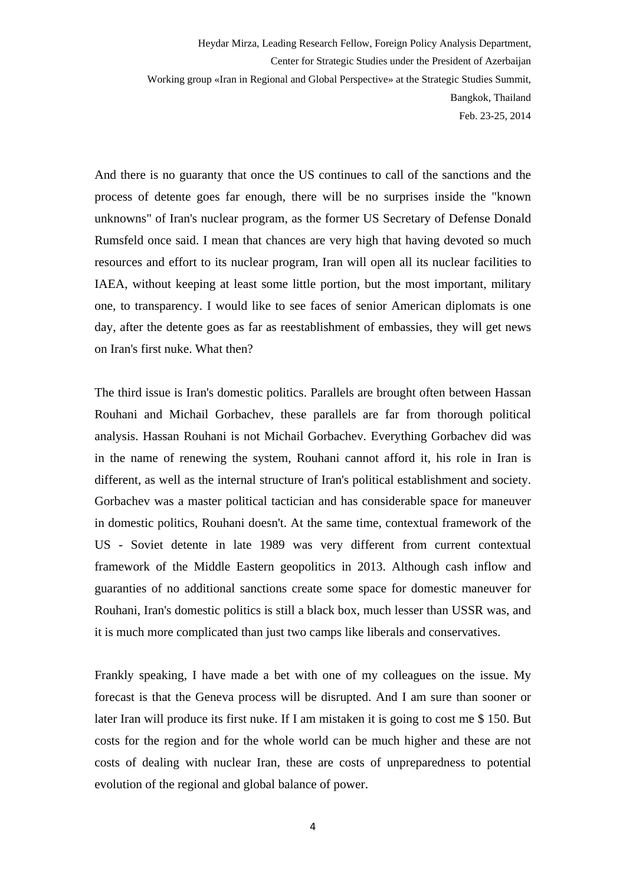And there is no guaranty that once the US continues to call of the sanctions and the process of detente goes far enough, there will be no surprises inside the "known unknowns" of Iran's nuclear program, as the former US Secretary of Defense Donald Rumsfeld once said. I mean that chances are very high that having devoted so much resources and effort to its nuclear program, Iran will open all its nuclear facilities to IAEA, without keeping at least some little portion, but the most important, military one, to transparency. I would like to see faces of senior American diplomats is one day, after the detente goes as far as reestablishment of embassies, they will get news on Iran's first nuke. What then?

The third issue is Iran's domestic politics. Parallels are brought often between Hassan Rouhani and Michail Gorbachev, these parallels are far from thorough political analysis. Hassan Rouhani is not Michail Gorbachev. Everything Gorbachev did was in the name of renewing the system, Rouhani cannot afford it, his role in Iran is different, as well as the internal structure of Iran's political establishment and society. Gorbachev was a master political tactician and has considerable space for maneuver in domestic politics, Rouhani doesn't. At the same time, contextual framework of the US - Soviet detente in late 1989 was very different from current contextual framework of the Middle Eastern geopolitics in 2013. Although cash inflow and guaranties of no additional sanctions create some space for domestic maneuver for Rouhani, Iran's domestic politics is still a black box, much lesser than USSR was, and it is much more complicated than just two camps like liberals and conservatives.

Frankly speaking, I have made a bet with one of my colleagues on the issue. My forecast is that the Geneva process will be disrupted. And I am sure than sooner or later Iran will produce its first nuke. If I am mistaken it is going to cost me \$ 150. But costs for the region and for the whole world can be much higher and these are not costs of dealing with nuclear Iran, these are costs of unpreparedness to potential evolution of the regional and global balance of power.